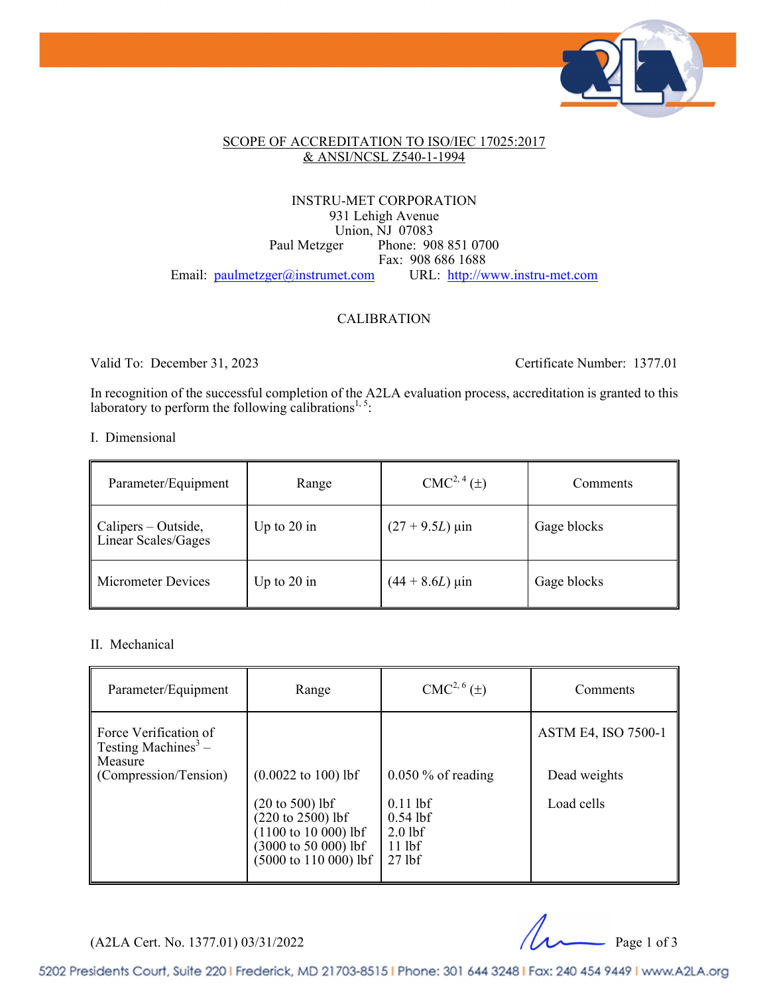

#### SCOPE OF ACCREDITATION TO ISO/IEC 17025:2017 & ANSI/NCSL Z540-1-1994

#### INSTRU-MET CORPORATION 931 Lehigh Avenue Union, NJ 07083 Paul Metzger Phone: 908 851 0700 Fax: 908 686 1688 Email: paulmetzger@instrumet.com URL: http://www.instru-met.com

#### CALIBRATION

Valid To: December 31, 2023 Certificate Number: 1377.01

In recognition of the successful completion of the A2LA evaluation process, accreditation is granted to this laboratory to perform the following calibrations<sup>1,5</sup>:

#### I. Dimensional

| Parameter/Equipment                                    | Range         | $CMC2, 4(\pm)$               | Comments    |
|--------------------------------------------------------|---------------|------------------------------|-------------|
| $\parallel$ Calipers – Outside,<br>Linear Scales/Gages | Up to $20$ in | $(27 + 9.5L)$ µin            | Gage blocks |
| <b>Micrometer Devices</b>                              | Up to $20$ in | $(44 + 8.6L) \,\mu\text{in}$ | Gage blocks |

#### II. Mechanical

| Parameter/Equipment                                                 | Range                                                                                                                                                                 | $CMC2, 6(\pm)$                                                | Comments                   |
|---------------------------------------------------------------------|-----------------------------------------------------------------------------------------------------------------------------------------------------------------------|---------------------------------------------------------------|----------------------------|
| Force Verification of<br>Testing Machines <sup>3</sup> –<br>Measure |                                                                                                                                                                       |                                                               | <b>ASTM E4, ISO 7500-1</b> |
| (Compression/Tension)                                               | $(0.0022 \text{ to } 100) \text{ lbf}$                                                                                                                                | $0.050\%$ of reading                                          | Dead weights               |
|                                                                     | $(20 \text{ to } 500)$ lbf<br>$(220 \text{ to } 2500)$ lbf<br>$(1100 \text{ to } 10000)$ lbf<br>$(3000 \text{ to } 50\ 000)$ lbf<br>$(5000 \text{ to } 110\,000)$ lbf | $0.11$ lbf<br>$0.54$ lbf<br>$2.0$ lbf<br>$11$ lbf<br>$27$ lbf | Load cells                 |

 $(A2LA$  Cert. No. 1377.01) 03/31/2022 Page 1 of 3

5202 Presidents Court, Suite 220 | Frederick, MD 21703-8515 | Phone: 301 644 3248 | Fax: 240 454 9449 | www.A2LA.org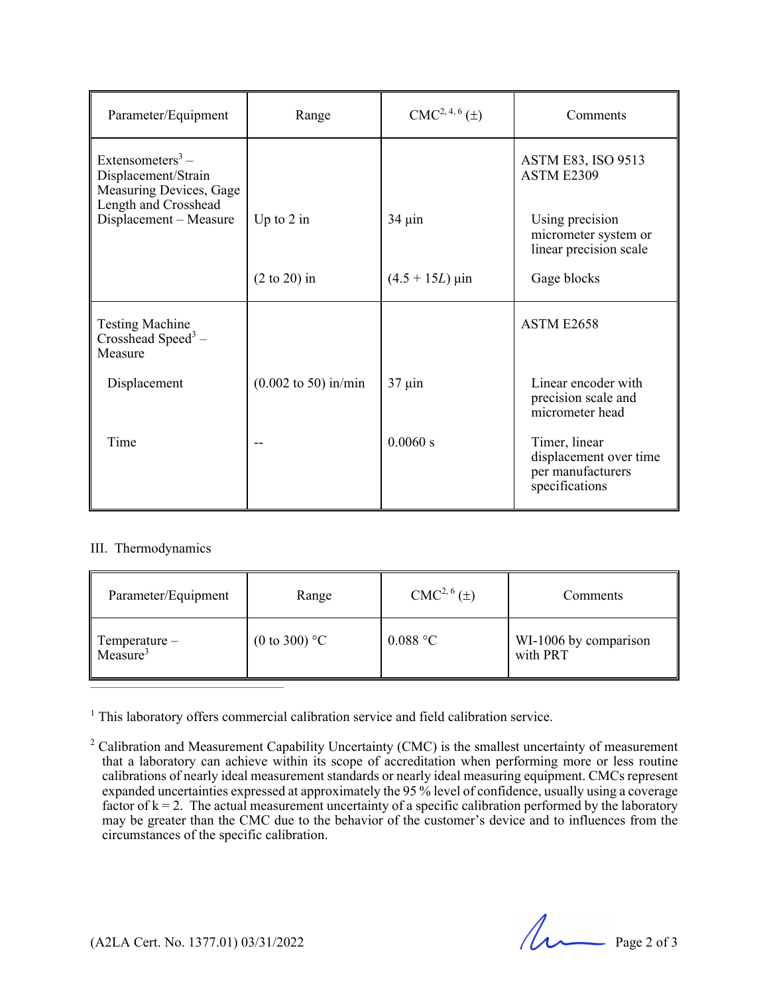| Parameter/Equipment                                                                                    | Range                                   | $CMC2, 4, 6(\pm)$ | Comments                                                                       |
|--------------------------------------------------------------------------------------------------------|-----------------------------------------|-------------------|--------------------------------------------------------------------------------|
| Extensometers <sup>3</sup> –<br>Displacement/Strain<br>Measuring Devices, Gage<br>Length and Crosshead |                                         |                   | <b>ASTM E83, ISO 9513</b><br>ASTM E2309                                        |
| Displacement - Measure                                                                                 | Up to $2$ in                            | $34 \mu$ in       | Using precision<br>micrometer system or<br>linear precision scale              |
|                                                                                                        | $(2 \text{ to } 20)$ in                 | $(4.5 + 15L)$ µin | Gage blocks                                                                    |
| <b>Testing Machine</b><br>Crosshead Speed <sup>3</sup> –<br>Measure                                    |                                         |                   | ASTM E2658                                                                     |
| Displacement                                                                                           | $(0.002 \text{ to } 50) \text{ in/min}$ | $37 \mu$ in       | Linear encoder with<br>precision scale and<br>micrometer head                  |
| Time                                                                                                   |                                         | 0.0060 s          | Timer, linear<br>displacement over time<br>per manufacturers<br>specifications |

#### III. Thermodynamics

| Parameter/Equipment                   | Range                   | $CMC2, 6(\pm)$ | Comments                          |
|---------------------------------------|-------------------------|----------------|-----------------------------------|
| Temperature –<br>Measure <sup>3</sup> | (0 to 300) $^{\circ}$ C | $0.088$ °C     | WI-1006 by comparison<br>with PRT |

<sup>1</sup> This laboratory offers commercial calibration service and field calibration service.

 $($ A2LA Cert. No. 1377.01) 03/31/2022 Page 2 of 3

<sup>&</sup>lt;sup>2</sup> Calibration and Measurement Capability Uncertainty (CMC) is the smallest uncertainty of measurement that a laboratory can achieve within its scope of accreditation when performing more or less routine calibrations of nearly ideal measurement standards or nearly ideal measuring equipment. CMCs represent expanded uncertainties expressed at approximately the 95 % level of confidence, usually using a coverage factor of  $k = 2$ . The actual measurement uncertainty of a specific calibration performed by the laboratory may be greater than the CMC due to the behavior of the customer's device and to influences from the circumstances of the specific calibration.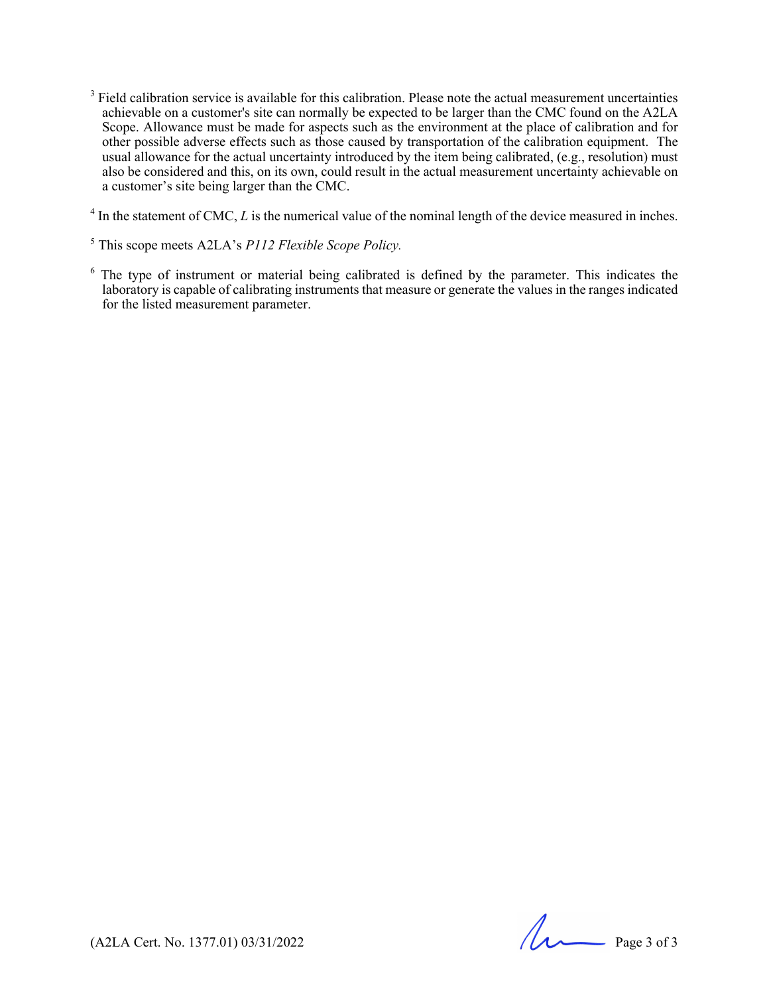- $3$  Field calibration service is available for this calibration. Please note the actual measurement uncertainties achievable on a customer's site can normally be expected to be larger than the CMC found on the A2LA Scope. Allowance must be made for aspects such as the environment at the place of calibration and for other possible adverse effects such as those caused by transportation of the calibration equipment. The usual allowance for the actual uncertainty introduced by the item being calibrated, (e.g., resolution) must also be considered and this, on its own, could result in the actual measurement uncertainty achievable on a customer's site being larger than the CMC.
- $4 \text{ In the statement of CMC, } L \text{ is the numerical value of the nominal length of the device measured in inches.}$
- 5 This scope meets A2LA's *P112 Flexible Scope Policy.*
- $6$  The type of instrument or material being calibrated is defined by the parameter. This indicates the laboratory is capable of calibrating instruments that measure or generate the values in the ranges indicated for the listed measurement parameter.

 $(42LA$  Cert. No. 1377.01) 03/31/2022 Page 3 of 3